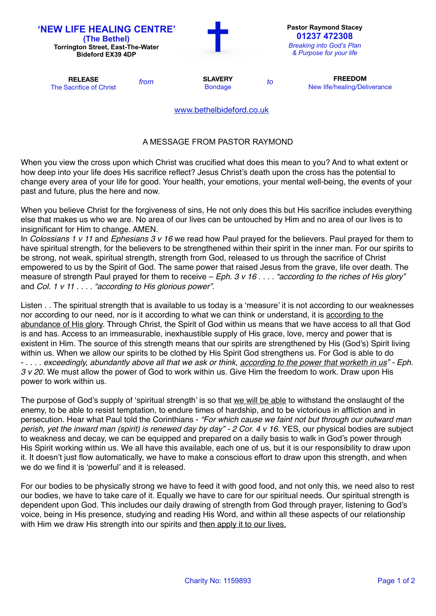| <b>'NEW LIFE HEALING CENTRE'</b><br>(The Bethel)<br><b>Torrington Street, East-The-Water</b><br><b>Bideford EX39 4DP</b> |      |                                  |    | <b>Pastor Raymond Stacey</b><br>01237 472308<br><b>Breaking into God's Plan</b><br>& Purpose for your life |
|--------------------------------------------------------------------------------------------------------------------------|------|----------------------------------|----|------------------------------------------------------------------------------------------------------------|
| <b>RELEASE</b><br>The Sacrifice of Christ                                                                                | from | <b>SLAVERY</b><br><b>Bondage</b> | to | <b>FREEDOM</b><br>New life/healing/Deliverance                                                             |
|                                                                                                                          |      | www.bethelbideford.co.uk         |    |                                                                                                            |

## A MESSAGE FROM PASTOR RAYMOND

When you view the cross upon which Christ was crucified what does this mean to you? And to what extent or how deep into your life does His sacrifice reflect? Jesus Christ's death upon the cross has the potential to change every area of your life for good. Your health, your emotions, your mental well-being, the events of your past and future, plus the here and now.

When you believe Christ for the forgiveness of sins, He not only does this but His sacrifice includes everything else that makes us who we are. No area of our lives can be untouched by Him and no area of our lives is to insignificant for Him to change. AMEN.

In *Colossians 1 v 11* and *Ephesians 3 v 16* we read how Paul prayed for the believers. Paul prayed for them to have spiritual strength, for the believers to be strengthened within their spirit in the inner man. For our spirits to be strong, not weak, spiritual strength, strength from God, released to us through the sacrifice of Christ empowered to us by the Spirit of God. The same power that raised Jesus from the grave, life over death. The measure of strength Paul prayed for them to receive – *Eph. 3 v 16 . . . . "according to the riches of His glory"*  and *Col. 1 v 11 . . . . "according to His glorious power".*

Listen . . The spiritual strength that is available to us today is a 'measure' it is not according to our weaknesses nor according to our need, nor is it according to what we can think or understand, it is according to the abundance of His glory. Through Christ, the Spirit of God within us means that we have access to all that God is and has. Access to an immeasurable, inexhaustible supply of His grace, love, mercy and power that is existent in Him. The source of this strength means that our spirits are strengthened by His (God's) Spirit living within us. When we allow our spirits to be clothed by His Spirit God strengthens us. For God is able to do - . . . . *exceedingly, abundantly above all that we ask or think, according to the power that worketh in us" - Eph. 3 v 20.* We must allow the power of God to work within us. Give Him the freedom to work. Draw upon His power to work within us.

The purpose of God's supply of 'spiritual strength' is so that we will be able to withstand the onslaught of the enemy, to be able to resist temptation, to endure times of hardship, and to be victorious in affliction and in persecution. Hear what Paul told the Corinthians - *"For which cause we faint not but through our outward man perish, yet the inward man (spirit) is renewed day by day" - 2 Cor. 4 v 16.* YES, our physical bodies are subject to weakness and decay, we can be equipped and prepared on a daily basis to walk in God's power through His Spirit working within us. We all have this available, each one of us, but it is our responsibility to draw upon it. It doesn't just flow automatically, we have to make a conscious effort to draw upon this strength, and when we do we find it is 'powerful' and it is released.

For our bodies to be physically strong we have to feed it with good food, and not only this, we need also to rest our bodies, we have to take care of it. Equally we have to care for our spiritual needs. Our spiritual strength is dependent upon God. This includes our daily drawing of strength from God through prayer, listening to God's voice, being in His presence, studying and reading His Word, and within all these aspects of our relationship with Him we draw His strength into our spirits and then apply it to our lives.